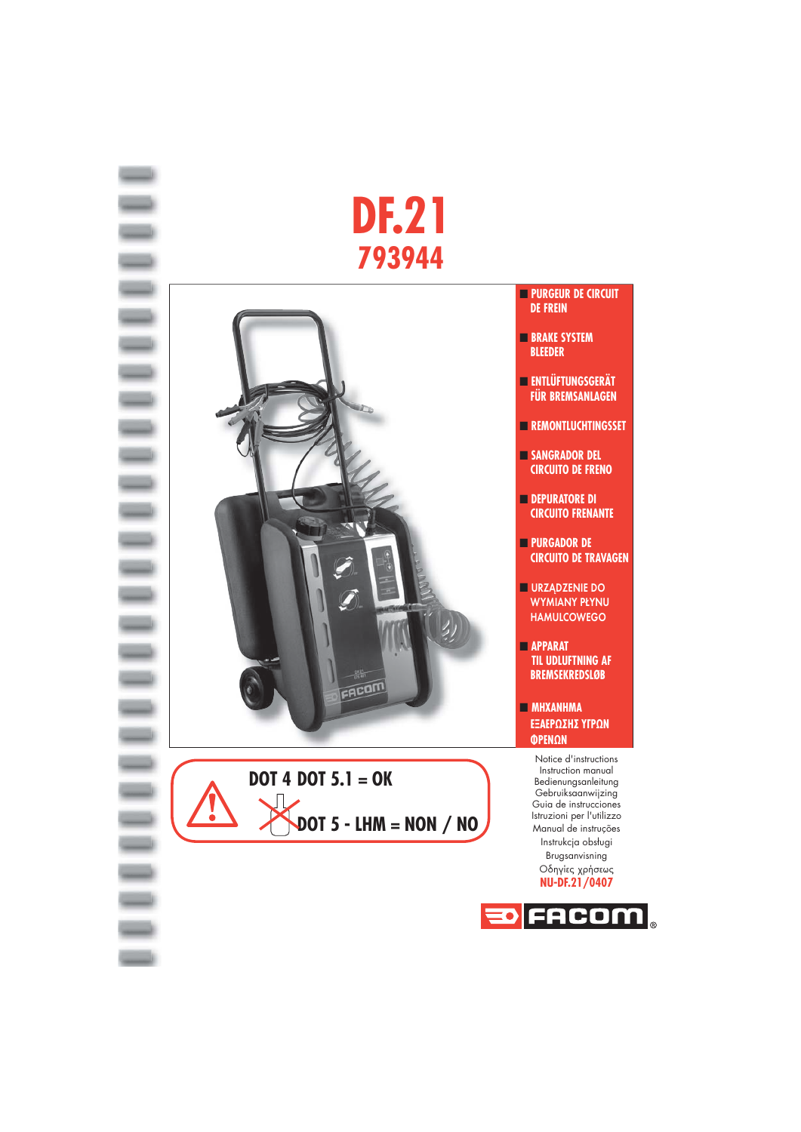





■ **PURGEUR DE CIRCUIT DE FREIN**

■ **BRAKE SYSTEM BLEEDER**

■ **ENTLÜFTUNGSGERÄT FÜR BREMSANLAGEN**

■ **REMONTLUCHTINGSSET**

■ **SANGRADOR DEL CIRCUITO DE FRENO**

■ **DEPURATORE DI CIRCUITO FRENANTE**

■ **PURGADOR DE CIRCUITO DE TRAVAGEN**

■ URZĄDZENIE DO WYMIANY PŁYNU HAMULCOWEGO

■ **APPARAT TIL UDLUFTNING AF BREMSEKREDSLØB**

■ ΜΗΧΑΝΗΜΑ ΕΞΑΕΡΩΣΗΣ ΥΓΡΩΝ ΦΡΕΝΩΝ

> Notice d'instructions Instruction manual Bedienungsanleitung Gebruiksaanwijzing Guia de instrucciones Istruzioni per l'utilizzo Manual de instruções Instrukcja obsługi Brugsanvisning Oδηγίες χρήσεως **NU-DF.21/0407**

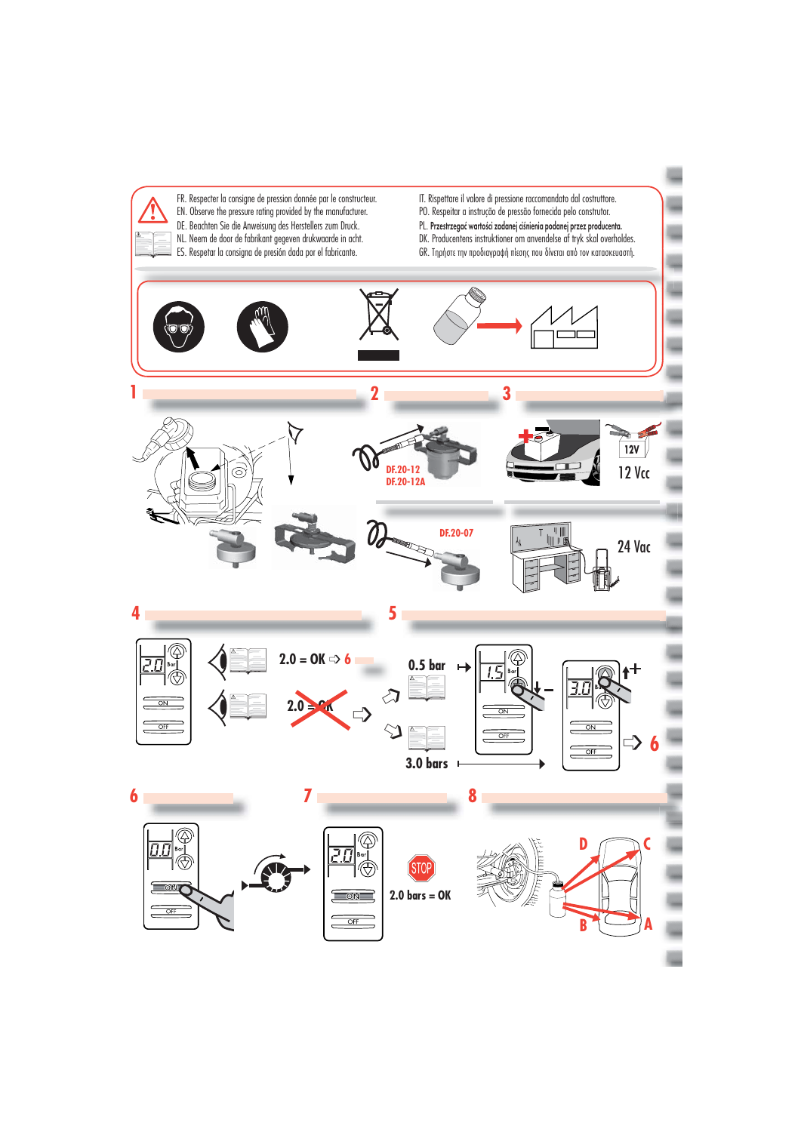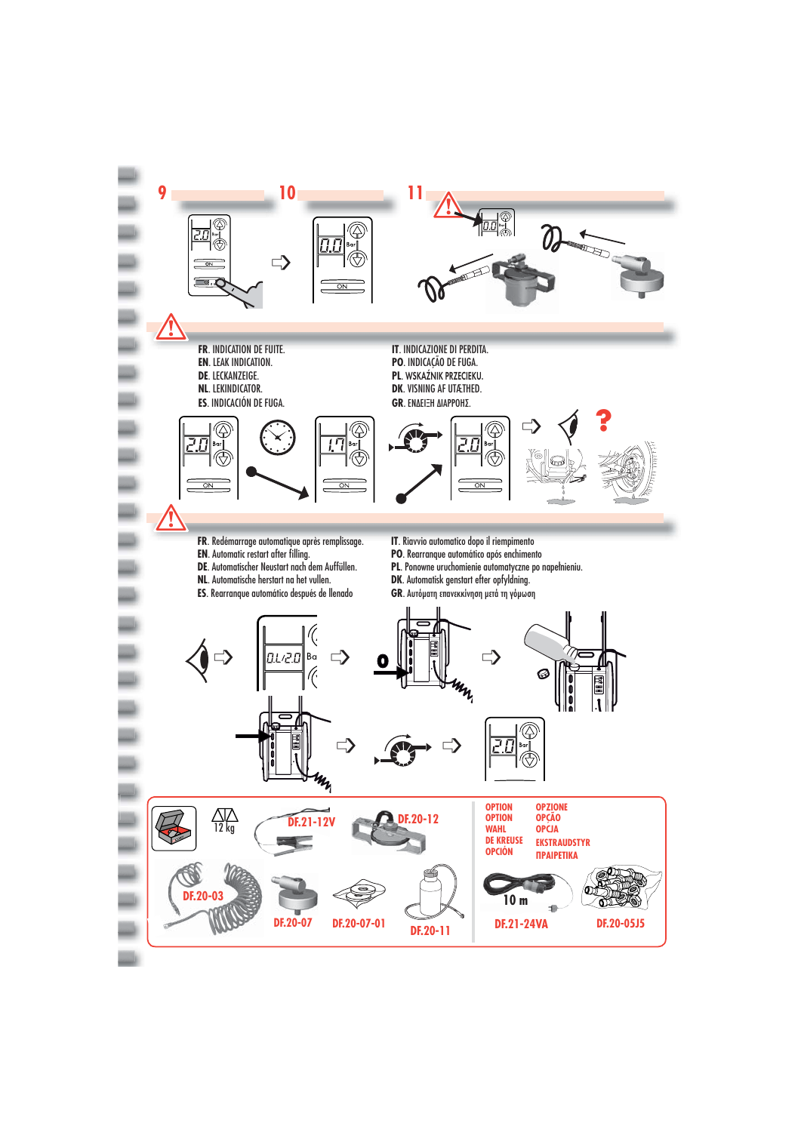